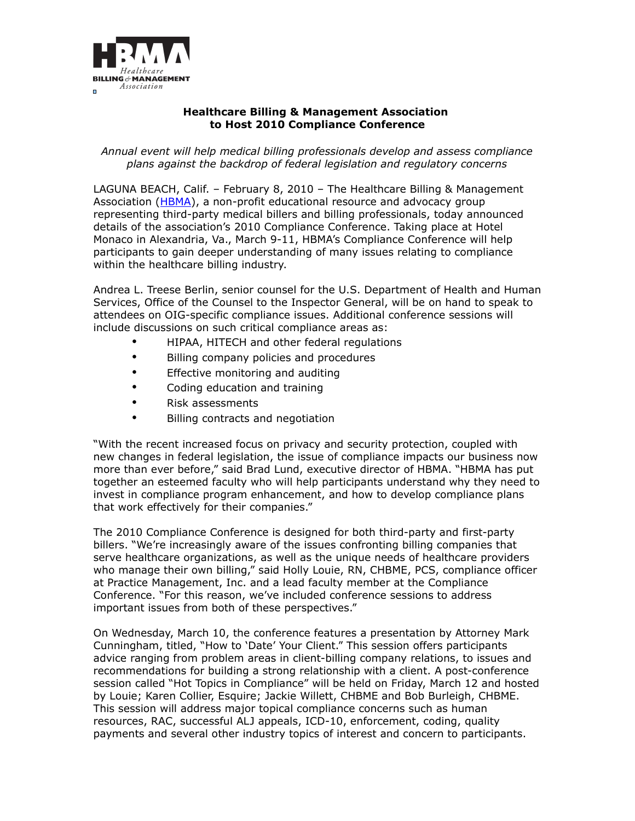

## **Healthcare Billing & Management Association to Host 2010 Compliance Conference**

*Annual event will help medical billing professionals develop and assess compliance plans against the backdrop of federal legislation and regulatory concerns*

LAGUNA BEACH, Calif. – February 8, 2010 – The Healthcare Billing & Management Association [\(HBMA\)](http://www.hbma.org/), a non-profit educational resource and advocacy group representing third-party medical billers and billing professionals, today announced details of the association's 2010 Compliance Conference. Taking place at Hotel Monaco in Alexandria, Va., March 9-11, HBMA's Compliance Conference will help participants to gain deeper understanding of many issues relating to compliance within the healthcare billing industry.

Andrea L. Treese Berlin, senior counsel for the U.S. Department of Health and Human Services, Office of the Counsel to the Inspector General, will be on hand to speak to attendees on OIG-specific compliance issues. Additional conference sessions will include discussions on such critical compliance areas as:

- HIPAA, HITECH and other federal regulations
- Billing company policies and procedures
- Effective monitoring and auditing
- Coding education and training
- Risk assessments
- Billing contracts and negotiation

"With the recent increased focus on privacy and security protection, coupled with new changes in federal legislation, the issue of compliance impacts our business now more than ever before," said Brad Lund, executive director of HBMA. "HBMA has put together an esteemed faculty who will help participants understand why they need to invest in compliance program enhancement, and how to develop compliance plans that work effectively for their companies."

The 2010 Compliance Conference is designed for both third-party and first-party billers. "We're increasingly aware of the issues confronting billing companies that serve healthcare organizations, as well as the unique needs of healthcare providers who manage their own billing," said Holly Louie, RN, CHBME, PCS, compliance officer at Practice Management, Inc. and a lead faculty member at the Compliance Conference. "For this reason, we've included conference sessions to address important issues from both of these perspectives."

On Wednesday, March 10, the conference features a presentation by Attorney Mark Cunningham, titled, "How to 'Date' Your Client." This session offers participants advice ranging from problem areas in client-billing company relations, to issues and recommendations for building a strong relationship with a client. A post-conference session called "Hot Topics in Compliance" will be held on Friday, March 12 and hosted by Louie; Karen Collier, Esquire; Jackie Willett, CHBME and Bob Burleigh, CHBME. This session will address major topical compliance concerns such as human resources, RAC, successful ALJ appeals, ICD-10, enforcement, coding, quality payments and several other industry topics of interest and concern to participants.